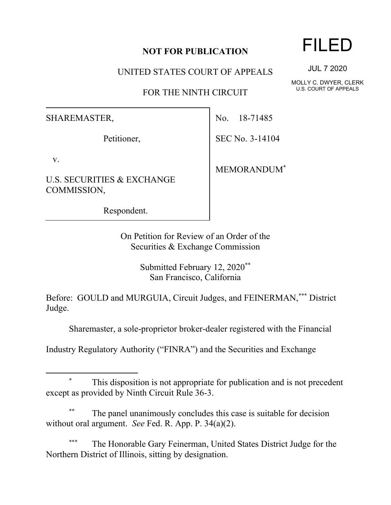## **NOT FOR PUBLICATION**

UNITED STATES COURT OF APPEALS

FOR THE NINTH CIRCUIT

SHAREMASTER,

Petitioner,

v.

U.S. SECURITIES & EXCHANGE COMMISSION,

Respondent.

No. 18-71485

SEC No. 3-14104

MEMORANDUM\*

On Petition for Review of an Order of the Securities & Exchange Commission

> Submitted February 12, 2020\*\* San Francisco, California

Before: GOULD and MURGUIA, Circuit Judges, and FEINERMAN,\*\*\* District Judge.

Sharemaster, a sole-proprietor broker-dealer registered with the Financial

Industry Regulatory Authority ("FINRA") and the Securities and Exchange

This disposition is not appropriate for publication and is not precedent except as provided by Ninth Circuit Rule 36-3.

The panel unanimously concludes this case is suitable for decision without oral argument. *See* Fed. R. App. P. 34(a)(2).

The Honorable Gary Feinerman, United States District Judge for the Northern District of Illinois, sitting by designation.

## FILED

JUL 7 2020

MOLLY C. DWYER, CLERK U.S. COURT OF APPEALS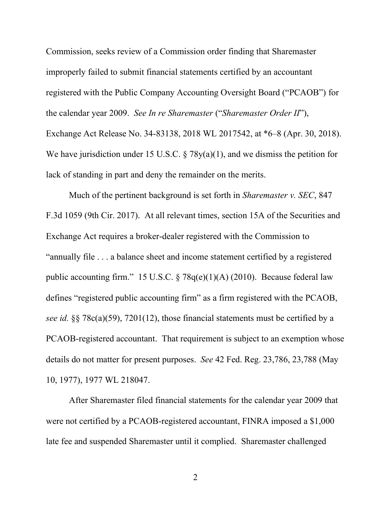Commission, seeks review of a Commission order finding that Sharemaster improperly failed to submit financial statements certified by an accountant registered with the Public Company Accounting Oversight Board ("PCAOB") for the calendar year 2009. *See In re Sharemaster* ("*Sharemaster Order II*"), Exchange Act Release No. 34-83138, 2018 WL 2017542, at \*6–8 (Apr. 30, 2018). We have jurisdiction under 15 U.S.C.  $\S 78y(a)(1)$ , and we dismiss the petition for lack of standing in part and deny the remainder on the merits.

Much of the pertinent background is set forth in *Sharemaster v. SEC*, 847 F.3d 1059 (9th Cir. 2017). At all relevant times, section 15A of the Securities and Exchange Act requires a broker-dealer registered with the Commission to "annually file . . . a balance sheet and income statement certified by a registered public accounting firm." 15 U.S.C. § 78q(e)(1)(A) (2010). Because federal law defines "registered public accounting firm" as a firm registered with the PCAOB, *see id.* §§ 78c(a)(59), 7201(12), those financial statements must be certified by a PCAOB-registered accountant. That requirement is subject to an exemption whose details do not matter for present purposes. *See* 42 Fed. Reg. 23,786, 23,788 (May 10, 1977), 1977 WL 218047.

After Sharemaster filed financial statements for the calendar year 2009 that were not certified by a PCAOB-registered accountant, FINRA imposed a \$1,000 late fee and suspended Sharemaster until it complied. Sharemaster challenged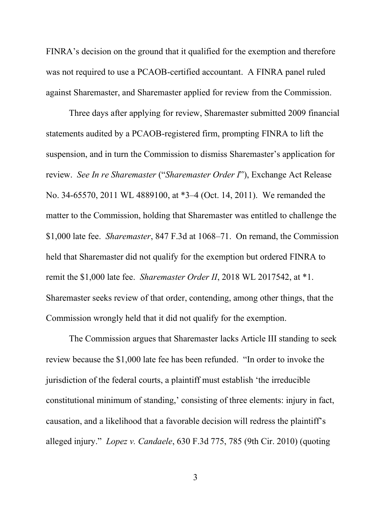FINRA's decision on the ground that it qualified for the exemption and therefore was not required to use a PCAOB-certified accountant. A FINRA panel ruled against Sharemaster, and Sharemaster applied for review from the Commission.

Three days after applying for review, Sharemaster submitted 2009 financial statements audited by a PCAOB-registered firm, prompting FINRA to lift the suspension, and in turn the Commission to dismiss Sharemaster's application for review. *See In re Sharemaster* ("*Sharemaster Order I*"), Exchange Act Release No. 34-65570, 2011 WL 4889100, at \*3–4 (Oct. 14, 2011). We remanded the matter to the Commission, holding that Sharemaster was entitled to challenge the \$1,000 late fee. *Sharemaster*, 847 F.3d at 1068–71. On remand, the Commission held that Sharemaster did not qualify for the exemption but ordered FINRA to remit the \$1,000 late fee. *Sharemaster Order II*, 2018 WL 2017542, at \*1. Sharemaster seeks review of that order, contending, among other things, that the Commission wrongly held that it did not qualify for the exemption.

The Commission argues that Sharemaster lacks Article III standing to seek review because the \$1,000 late fee has been refunded. "In order to invoke the jurisdiction of the federal courts, a plaintiff must establish 'the irreducible constitutional minimum of standing,' consisting of three elements: injury in fact, causation, and a likelihood that a favorable decision will redress the plaintiff's alleged injury." *Lopez v. Candaele*, 630 F.3d 775, 785 (9th Cir. 2010) (quoting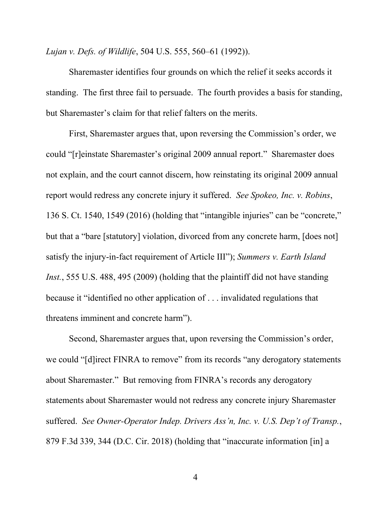*Lujan v. Defs. of Wildlife*, 504 U.S. 555, 560–61 (1992)).

Sharemaster identifies four grounds on which the relief it seeks accords it standing. The first three fail to persuade. The fourth provides a basis for standing, but Sharemaster's claim for that relief falters on the merits.

First, Sharemaster argues that, upon reversing the Commission's order, we could "[r]einstate Sharemaster's original 2009 annual report." Sharemaster does not explain, and the court cannot discern, how reinstating its original 2009 annual report would redress any concrete injury it suffered. *See Spokeo, Inc. v. Robins*, 136 S. Ct. 1540, 1549 (2016) (holding that "intangible injuries" can be "concrete," but that a "bare [statutory] violation, divorced from any concrete harm, [does not] satisfy the injury-in-fact requirement of Article III"); *Summers v. Earth Island Inst.*, 555 U.S. 488, 495 (2009) (holding that the plaintiff did not have standing because it "identified no other application of . . . invalidated regulations that threatens imminent and concrete harm").

Second, Sharemaster argues that, upon reversing the Commission's order, we could "[d]irect FINRA to remove" from its records "any derogatory statements" about Sharemaster." But removing from FINRA's records any derogatory statements about Sharemaster would not redress any concrete injury Sharemaster suffered. *See Owner-Operator Indep. Drivers Ass'n, Inc. v. U.S. Dep't of Transp.*, 879 F.3d 339, 344 (D.C. Cir. 2018) (holding that "inaccurate information [in] a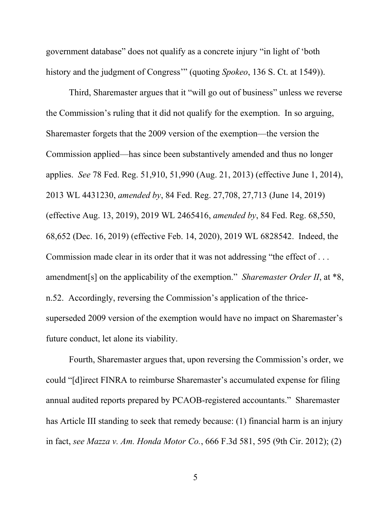government database" does not qualify as a concrete injury "in light of 'both history and the judgment of Congress'" (quoting *Spokeo*, 136 S. Ct. at 1549)).

Third, Sharemaster argues that it "will go out of business" unless we reverse the Commission's ruling that it did not qualify for the exemption. In so arguing, Sharemaster forgets that the 2009 version of the exemption—the version the Commission applied—has since been substantively amended and thus no longer applies. *See* 78 Fed. Reg. 51,910, 51,990 (Aug. 21, 2013) (effective June 1, 2014), 2013 WL 4431230, *amended by*, 84 Fed. Reg. 27,708, 27,713 (June 14, 2019) (effective Aug. 13, 2019), 2019 WL 2465416, *amended by*, 84 Fed. Reg. 68,550, 68,652 (Dec. 16, 2019) (effective Feb. 14, 2020), 2019 WL 6828542. Indeed, the Commission made clear in its order that it was not addressing "the effect of . . . amendment[s] on the applicability of the exemption." *Sharemaster Order II*, at \*8, n.52. Accordingly, reversing the Commission's application of the thricesuperseded 2009 version of the exemption would have no impact on Sharemaster's future conduct, let alone its viability.

Fourth, Sharemaster argues that, upon reversing the Commission's order, we could "[d]irect FINRA to reimburse Sharemaster's accumulated expense for filing annual audited reports prepared by PCAOB-registered accountants." Sharemaster has Article III standing to seek that remedy because: (1) financial harm is an injury in fact, *see Mazza v. Am. Honda Motor Co.*, 666 F.3d 581, 595 (9th Cir. 2012); (2)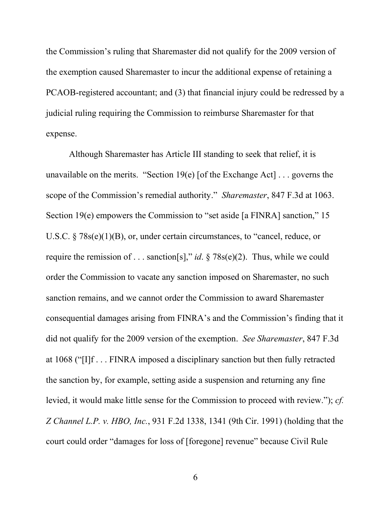the Commission's ruling that Sharemaster did not qualify for the 2009 version of the exemption caused Sharemaster to incur the additional expense of retaining a PCAOB-registered accountant; and (3) that financial injury could be redressed by a judicial ruling requiring the Commission to reimburse Sharemaster for that expense.

Although Sharemaster has Article III standing to seek that relief, it is unavailable on the merits. "Section 19(e) [of the Exchange Act] . . . governs the scope of the Commission's remedial authority." *Sharemaster*, 847 F.3d at 1063. Section 19(e) empowers the Commission to "set aside [a FINRA] sanction," 15 U.S.C. § 78s(e)(1)(B), or, under certain circumstances, to "cancel, reduce, or require the remission of . . . sanction[s]," *id*. § 78s(e)(2). Thus, while we could order the Commission to vacate any sanction imposed on Sharemaster, no such sanction remains, and we cannot order the Commission to award Sharemaster consequential damages arising from FINRA's and the Commission's finding that it did not qualify for the 2009 version of the exemption. *See Sharemaster*, 847 F.3d at 1068 ("[I]f . . . FINRA imposed a disciplinary sanction but then fully retracted the sanction by, for example, setting aside a suspension and returning any fine levied, it would make little sense for the Commission to proceed with review."); *cf. Z Channel L.P. v. HBO, Inc.*, 931 F.2d 1338, 1341 (9th Cir. 1991) (holding that the court could order "damages for loss of [foregone] revenue" because Civil Rule